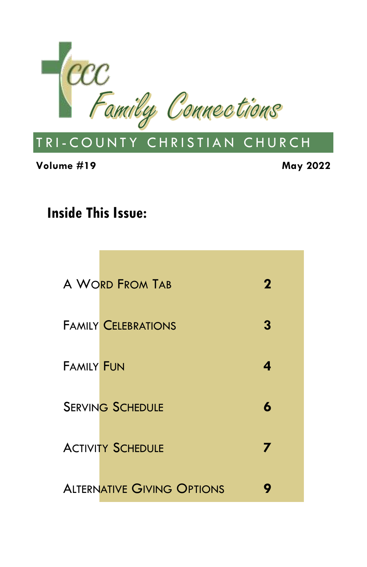

**Volume #19 May 2022**

#### **Inside This Issue:**

|                   | A WORD FROM TAB                   | 2 |
|-------------------|-----------------------------------|---|
|                   | <b>FAMILY CELEBRATIONS</b>        | 3 |
| <b>FAMILY FUN</b> |                                   | 4 |
|                   | <b>SERVING SCHEDULE</b>           | 6 |
|                   | <b>ACTIVITY SCHEDULE</b>          | 7 |
|                   | <b>ALTERNATIVE GIVING OPTIONS</b> |   |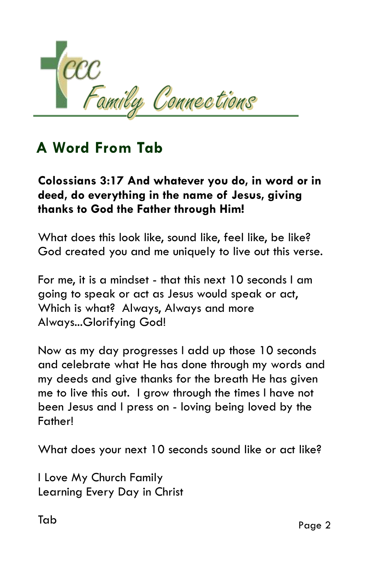

### **A Word From Tab**

#### **Colossians 3:17 And whatever you do, in word or in deed, do everything in the name of Jesus, giving thanks to God the Father through Him!**

What does this look like, sound like, feel like, be like? God created you and me uniquely to live out this verse.

For me, it is a mindset - that this next 10 seconds I am going to speak or act as Jesus would speak or act, Which is what? Always, Always and more Always...Glorifying God!

Now as my day progresses I add up those 10 seconds and celebrate what He has done through my words and my deeds and give thanks for the breath He has given me to live this out. I grow through the times I have not been Jesus and I press on - loving being loved by the Father!

What does your next 10 seconds sound like or act like?

I Love My Church Family Learning Every Day in Christ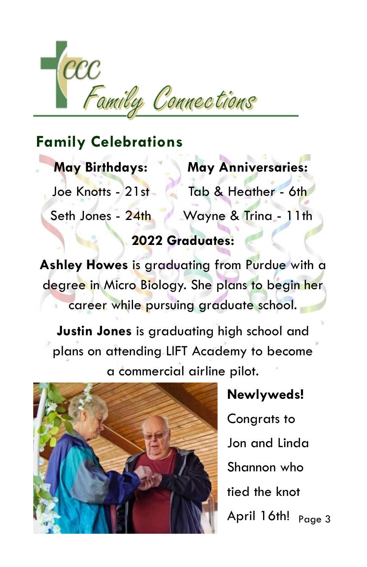

#### **May Birthdays:**

Joe Knotts - 21st

**May Anniversaries:** Tab & Heather - 6th

Wayne & Trina - 11th Seth Jones - 24th

#### **2022 Graduates:**

**Ashley Howes** is graduating from Purdue with a degree in Micro Biology. She plans to begin her career while pursuing graduate school.

**Justin Jones** is graduating high school and plans on attending LIFT Academy to become a commercial airline pilot.



April 16th! <sub>Page 3</sub> **Newlyweds!** Congrats to Jon and Linda Shannon who tied the knot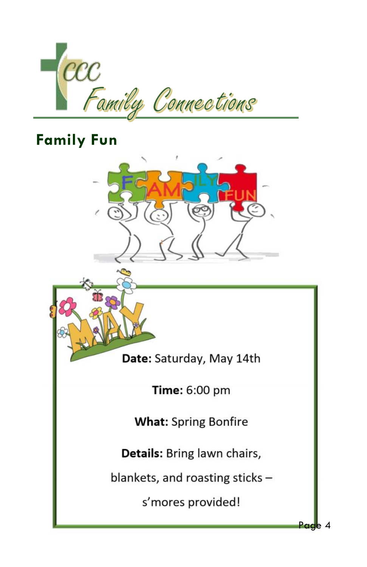



Page 4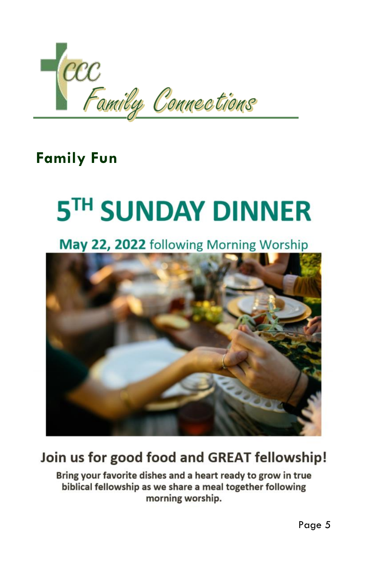

### **Family Fun**

# 5TH SUNDAY DINNER

May 22, 2022 following Morning Worship



### Join us for good food and GREAT fellowship!

Bring your favorite dishes and a heart ready to grow in true biblical fellowship as we share a meal together following morning worship.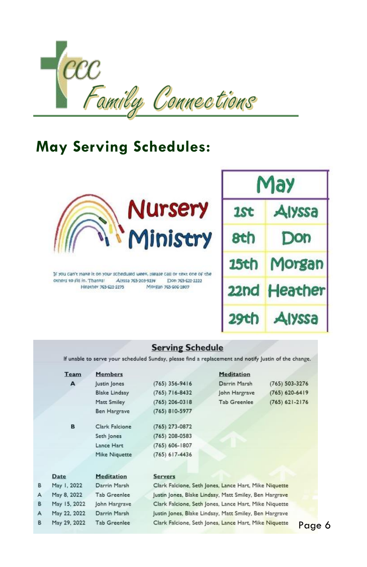

### **May Serving Schedules:**



If you can't make it on your scheduled week, please call or text one of the others to Fill in Thanks! Alvssa 765-203-9234 Don 765-621-2222 Heather 765-621-2275 Morgan 765-606-1807

B A B A B

| May         |               |  |  |  |
|-------------|---------------|--|--|--|
| 1St         | <b>Alyssa</b> |  |  |  |
| 8th         | Don           |  |  |  |
| <b>15th</b> | Morgan        |  |  |  |
| 22nd        | Heather       |  |  |  |
| 29th        | Alyssa        |  |  |  |

#### **Serving Schedule**

If unable to serve your scheduled Sunday, please find a replacement and notify Justin of the change.

| Team         | <b>Members</b>       |                                                        | <b>Meditation</b>                                     |                    |  |
|--------------|----------------------|--------------------------------------------------------|-------------------------------------------------------|--------------------|--|
| A            | lustin lones         | $(765)$ 356-9416                                       | Darrin Marsh                                          | $(765) 503 - 3276$ |  |
|              | <b>Blake Lindsay</b> | $(765)$ 716-8432                                       | John Hargrave                                         | $(765) 620 - 6419$ |  |
|              | Matt Smiley          | $(765)$ 206-0318                                       | <b>Tab Greenlee</b>                                   | $(765) 621 - 2176$ |  |
|              | <b>Ben Hargrave</b>  | $(765) 810-5977$                                       |                                                       |                    |  |
| B            | Clark Falcione       | $(765)$ 273-0872                                       |                                                       |                    |  |
|              | Seth Jones           | $(765)$ 208-0583                                       |                                                       |                    |  |
|              | Lance Hart           | $(765) 606 - 1807$                                     |                                                       |                    |  |
|              | Mike Niquette        | $(765)$ 617-4436                                       |                                                       |                    |  |
| Date         | <b>Meditation</b>    | <b>Servers</b>                                         |                                                       |                    |  |
| May 1, 2022  | Darrin Marsh         | Clark Falcione, Seth Jones, Lance Hart, Mike Niquette  |                                                       |                    |  |
| May 8, 2022  | <b>Tab Greenlee</b>  | Justin Jones, Blake Lindsay, Matt Smiley, Ben Hargrave |                                                       |                    |  |
| May 15, 2022 | John Hargrave        | Clark Falcione, Seth Jones, Lance Hart, Mike Niquette  |                                                       |                    |  |
| May 22, 2022 | Darrin Marsh         | Justin Jones, Blake Lindsay, Matt Smiley, Ben Hargrave |                                                       |                    |  |
| May 29, 2022 | <b>Tab Greenlee</b>  |                                                        | Clark Falcione, Seth Jones, Lance Hart, Mike Niquette | Poo                |  |

Page 6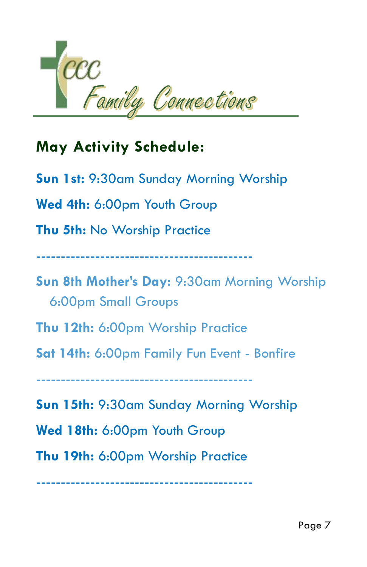

## **May Activity Schedule:**

**Sun 1st:** 9:30am Sunday Morning Worship **Wed 4th:** 6:00pm Youth Group **Thu 5th:** No Worship Practice -------------------------------------------- **Sun 8th Mother's Day:** 9:30am Morning Worship 6:00pm Small Groups **Thu 12th:** 6:00pm Worship Practice **Sat 14th:** 6:00pm Family Fun Event - Bonfire --------------------------------------------

**Sun 15th:** 9:30am Sunday Morning Worship

**Wed 18th:** 6:00pm Youth Group

**Thu 19th:** 6:00pm Worship Practice

--------------------------------------------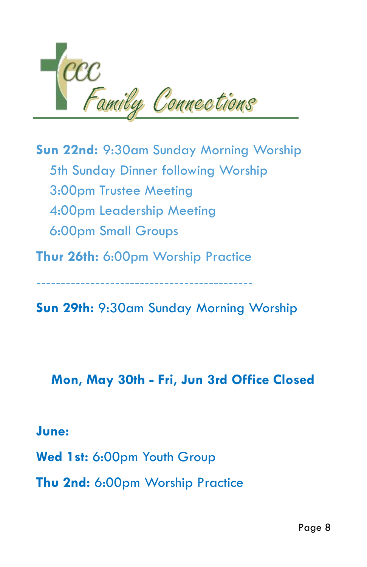

**Sun 22nd:** 9:30am Sunday Morning Worship 5th Sunday Dinner following Worship 3:00pm Trustee Meeting 4:00pm Leadership Meeting 6:00pm Small Groups

**Thur 26th:** 6:00pm Worship Practice

--------------------------------------------

**Sun 29th:** 9:30am Sunday Morning Worship

#### **Mon, May 30th - Fri, Jun 3rd Office Closed**

#### **June:**

**Wed 1st:** 6:00pm Youth Group

**Thu 2nd:** 6:00pm Worship Practice